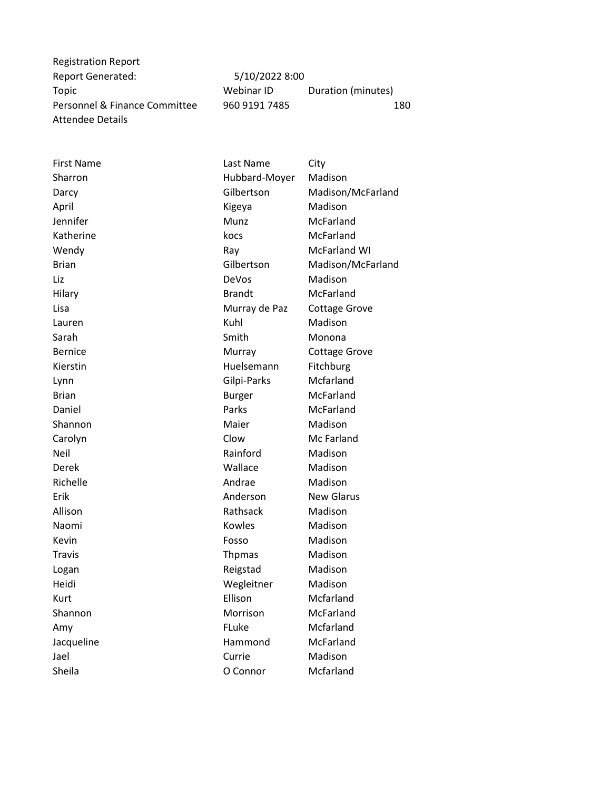Registration Report Report Generated: 5/10/2022 8:00 Attendee Details

Topic **The Communist Communist Communist Communist Communist Communist Communist Communist Communist Communist Communist Communist Communist Communist Communist Communist Communist Communist Communist Communist Communist C** Personnel & Finance Committee 960 9191 7485 180

| <b>First Name</b> | Last Name     | City                 |
|-------------------|---------------|----------------------|
| Sharron           | Hubbard-Moyer | Madison              |
| Darcy             | Gilbertson    | Madison/McFarland    |
| April             | Kigeya        | Madison              |
| Jennifer          | Munz          | McFarland            |
| Katherine         | kocs          | McFarland            |
| Wendy             | Ray           | McFarland WI         |
| <b>Brian</b>      | Gilbertson    | Madison/McFarland    |
| Liz               | DeVos         | Madison              |
| Hilary            | <b>Brandt</b> | McFarland            |
| Lisa              | Murray de Paz | <b>Cottage Grove</b> |
| Lauren            | Kuhl          | Madison              |
| Sarah             | Smith         | Monona               |
| <b>Bernice</b>    | Murray        | <b>Cottage Grove</b> |
| Kierstin          | Huelsemann    | Fitchburg            |
| Lynn              | Gilpi-Parks   | Mcfarland            |
| <b>Brian</b>      | <b>Burger</b> | McFarland            |
| Daniel            | Parks         | McFarland            |
| Shannon           | Maier         | Madison              |
| Carolyn           | Clow          | Mc Farland           |
| Neil              | Rainford      | Madison              |
| Derek             | Wallace       | Madison              |
| Richelle          | Andrae        | Madison              |
| <b>Erik</b>       | Anderson      | <b>New Glarus</b>    |
| Allison           | Rathsack      | Madison              |
| Naomi             | Kowles        | Madison              |
| Kevin             | Fosso         | Madison              |
| Travis            | <b>Thpmas</b> | Madison              |
| Logan             | Reigstad      | Madison              |
| Heidi             | Wegleitner    | Madison              |
| Kurt              | Ellison       | Mcfarland            |
| Shannon           | Morrison      | McFarland            |
| Amy               | FLuke         | Mcfarland            |
| Jacqueline        | Hammond       | McFarland            |
| Jael              | Currie        | Madison              |
| Sheila            | O Connor      | Mcfarland            |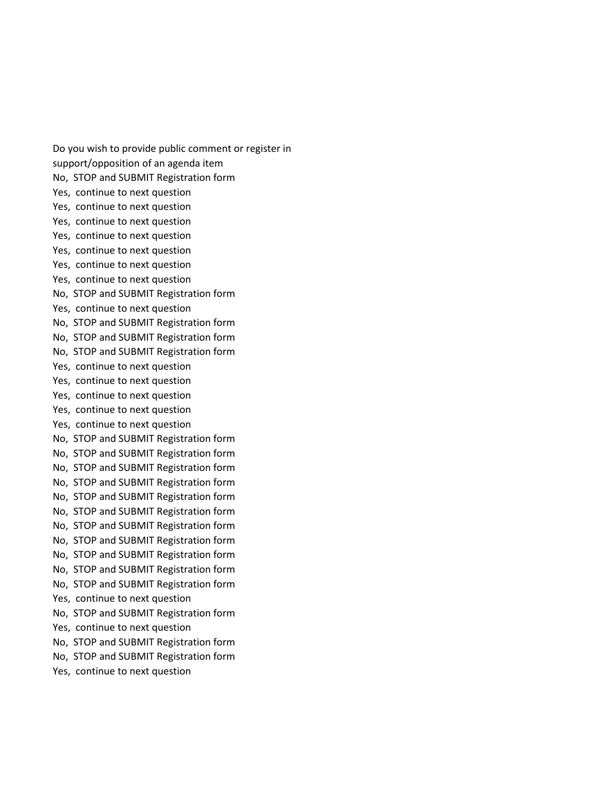Do you wish to provide public comment or register in support/opposition of an agenda item No, STOP and SUBMIT Registration form Yes, continue to next question Yes, continue to next question Yes, continue to next question Yes, continue to next question Yes, continue to next question Yes, continue to next question Yes, continue to next question No, STOP and SUBMIT Registration form Yes, continue to next question No, STOP and SUBMIT Registration form No, STOP and SUBMIT Registration form No, STOP and SUBMIT Registration form Yes, continue to next question Yes, continue to next question Yes, continue to next question Yes, continue to next question Yes, continue to next question No, STOP and SUBMIT Registration form No, STOP and SUBMIT Registration form No, STOP and SUBMIT Registration form No, STOP and SUBMIT Registration form No, STOP and SUBMIT Registration form No, STOP and SUBMIT Registration form No, STOP and SUBMIT Registration form No, STOP and SUBMIT Registration form No, STOP and SUBMIT Registration form No, STOP and SUBMIT Registration form No, STOP and SUBMIT Registration form Yes, continue to next question No, STOP and SUBMIT Registration form Yes, continue to next question No, STOP and SUBMIT Registration form No, STOP and SUBMIT Registration form Yes, continue to next question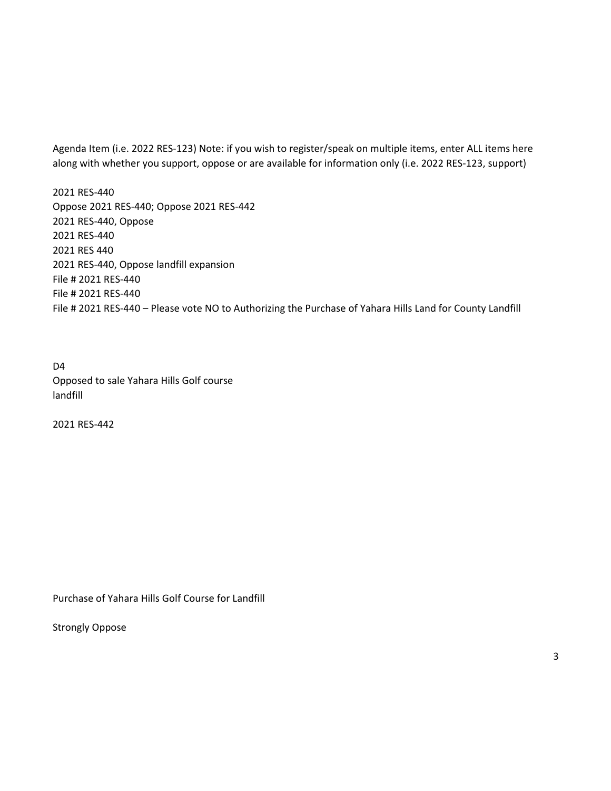Agenda Item (i.e. 2022 RES-123) Note: if you wish to register/speak on multiple items, enter ALL items here along with whether you support, oppose or are available for information only (i.e. 2022 RES-123, support)

2021 RES-440 Oppose 2021 RES-440; Oppose 2021 RES-442 2021 RES-440, Oppose 2021 RES-440 2021 RES 440 2021 RES-440, Oppose landfill expansion File # 2021 RES-440 File # 2021 RES-440 File # 2021 RES-440 – Please vote NO to Authorizing the Purchase of Yahara Hills Land for County Landfill

D4 Opposed to sale Yahara Hills Golf course landfill

2021 RES-442

Purchase of Yahara Hills Golf Course for Landfill

Strongly Oppose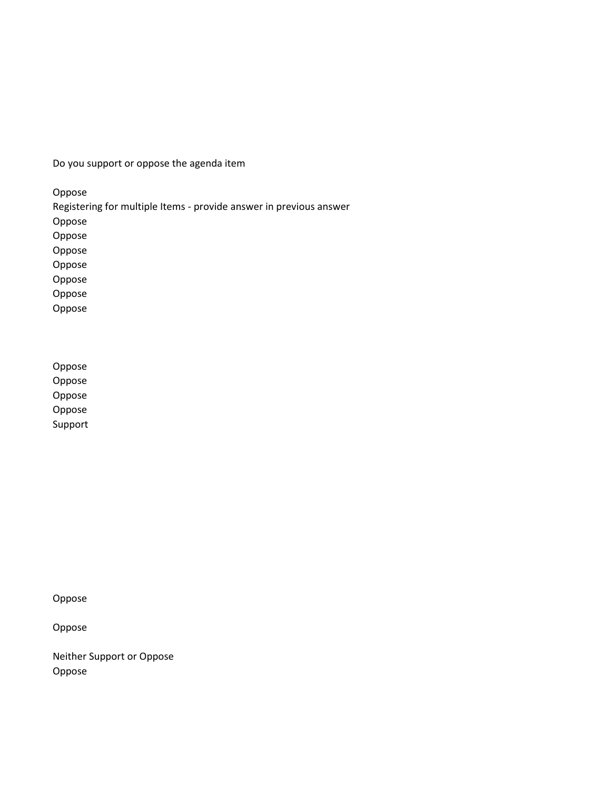Do you support or oppose the agenda item

Oppose

Registering for multiple Items - provide answer in previous answer

Oppose

Oppose

Oppose

Oppose

Oppose

Oppose Oppose

Oppose Oppose Oppose

Oppose

Support

Oppose

Oppose

Neither Support or Oppose Oppose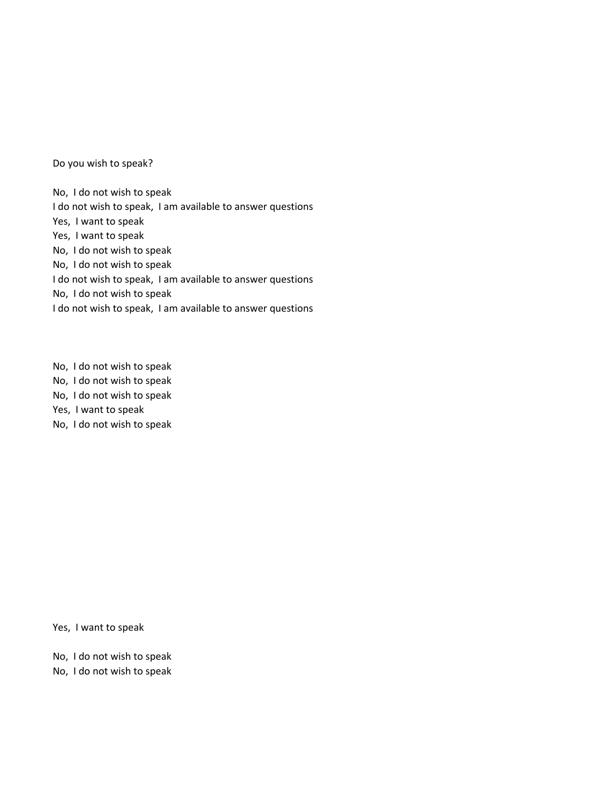Do you wish to speak?

No, I do not wish to speak I do not wish to speak, I am available to answer questions Yes, I want to speak Yes, I want to speak No, I do not wish to speak No, I do not wish to speak I do not wish to speak, I am available to answer questions No, I do not wish to speak I do not wish to speak, I am available to answer questions

No, I do not wish to speak No, I do not wish to speak No, I do not wish to speak Yes, I want to speak No, I do not wish to speak

Yes, I want to speak

No, I do not wish to speak No, I do not wish to speak